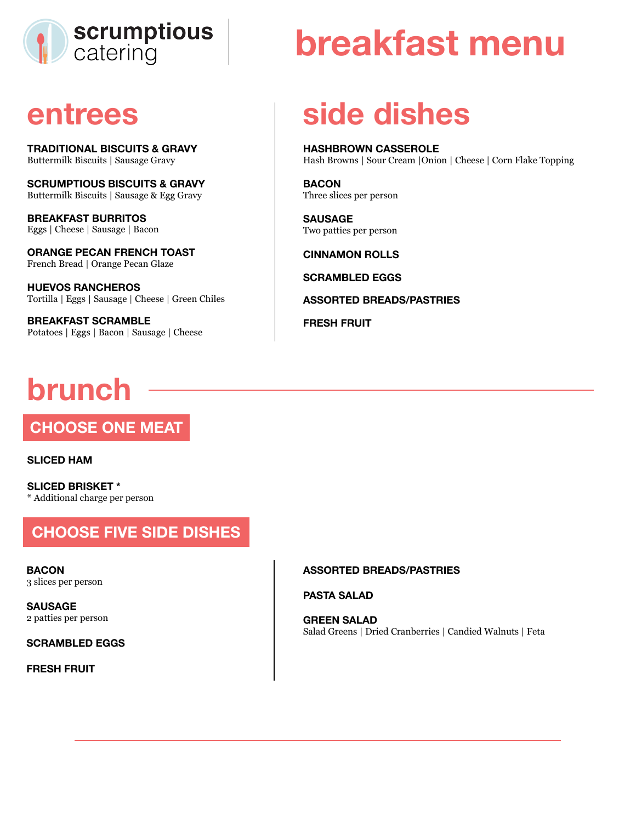

## **entrees**

**TRADITIONAL BISCUITS & GRAVY**  Buttermilk Biscuits | Sausage Gravy

**SCRUMPTIOUS BISCUITS & GRAVY**  Buttermilk Biscuits | Sausage & Egg Gravy

**BREAKFAST BURRITOS**  Eggs | Cheese | Sausage | Bacon

**ORANGE PECAN FRENCH TOAST**  French Bread | Orange Pecan Glaze

**HUEVOS RANCHEROS**  Tortilla | Eggs | Sausage | Cheese | Green Chiles

**BREAKFAST SCRAMBLE**  Potatoes | Eggs | Bacon | Sausage | Cheese

# **brunch**

**CHOOSE ONE MEAT** 

**SLICED HAM** 

**SLICED BRISKET \***  \* Additional charge per person

### **CHOOSE FIVE SIDE DISHES**

**BACON**  3 slices per person

**SAUSAGE**  2 patties per person

**SCRAMBLED EGGS** 

**FRESH FRUIT** 

# **breakfast menu**

# **side dishes**

**HASHBROWN CASSEROLE**  Hash Browns | Sour Cream |Onion | Cheese | Corn Flake Topping

**BACON**  Three slices per person

**SAUSAGE**  Two patties per person

**CINNAMON ROLLS** 

**SCRAMBLED EGGS** 

**ASSORTED BREADS/PASTRIES** 

**FRESH FRUIT** 

#### **ASSORTED BREADS/PASTRIES**

**PASTA SALAD** 

**GREEN SALAD**  Salad Greens | Dried Cranberries | Candied Walnuts | Feta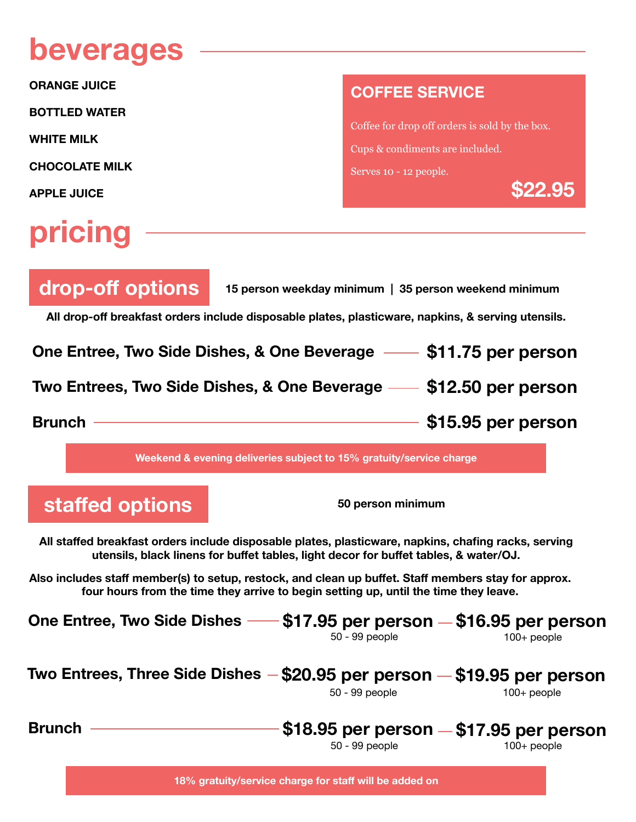## **beverages**

**ORANGE JUICE** 

**BOTTLED WATER** 

**WHITE MILK** 

**CHOCOLATE MILK** 

**APPLE JUICE**

# **pricing**

#### **COFFEE SERVICE**

Coffee for drop off orders is sold by the box. Cups & condiments are included. Serves 10 - 12 people.

**\$22.95**

| drop-off options                                                                                   | 15 person weekday minimum   35 person weekend minimum |  |  |
|----------------------------------------------------------------------------------------------------|-------------------------------------------------------|--|--|
| All drop-off breakfast orders include disposable plates, plasticware, napkins, & serving utensils. |                                                       |  |  |
| One Entree, Two Side Dishes, & One Beverage - \$11.75 per person                                   |                                                       |  |  |
| Two Entrees, Two Side Dishes, & One Beverage - \$12.50 per person                                  |                                                       |  |  |
| <b>Brunch</b>                                                                                      | \$15.95 per person                                    |  |  |

**Weekend & evening deliveries subject to 15% gratuity/service charge** 

**staffed options 50 person minimum**

**All staffed breakfast orders include disposable plates, plasticware, napkins, chafing racks, serving utensils, black linens for buffet tables, light decor for buffet tables, & water/OJ.**

**Also includes staff member(s) to setup, restock, and clean up buffet. Staff members stay for approx. four hours from the time they arrive to begin setting up, until the time they leave.** 

| One Entree, Two Side Dishes                                                  | $\sqrt{517.95}$ per person $-$ \$16.95 per person<br>50 - 99 people | $100+$ people |
|------------------------------------------------------------------------------|---------------------------------------------------------------------|---------------|
| Two Entrees, Three Side Dishes $-$ \$20.95 per person $-$ \$19.95 per person | 50 - 99 people                                                      | $100+$ people |
| <b>Brunch</b>                                                                | $$18.95$ per person $- $17.95$ per person<br>50 - 99 people         | $100+$ people |

**18% gratuity/service charge for staff will be added on**